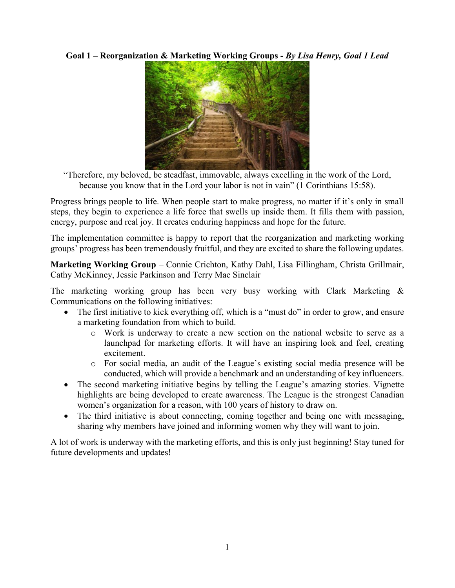**Goal 1 – Reorganization & Marketing Working Groups -** *By Lisa Henry, Goal 1 Lead*



"Therefore, my beloved, be steadfast, immovable, always excelling in the work of the Lord, because you know that in the Lord your labor is not in vain" (1 Corinthians 15:58).

Progress brings people to life. When people start to make progress, no matter if it's only in small steps, they begin to experience a life force that swells up inside them. It fills them with passion, energy, purpose and real joy. It creates enduring happiness and hope for the future.

The implementation committee is happy to report that the reorganization and marketing working groups' progress has been tremendously fruitful, and they are excited to share the following updates.

**Marketing Working Group** – Connie Crichton, Kathy Dahl, Lisa Fillingham, Christa Grillmair, Cathy McKinney, Jessie Parkinson and Terry Mae Sinclair

The marketing working group has been very busy working with Clark Marketing & Communications on the following initiatives:

- The first initiative to kick everything off, which is a "must do" in order to grow, and ensure a marketing foundation from which to build.
	- o Work is underway to create a new section on the national website to serve as a launchpad for marketing efforts. It will have an inspiring look and feel, creating excitement.
	- o For social media, an audit of the League's existing social media presence will be conducted, which will provide a benchmark and an understanding of key influencers.
- The second marketing initiative begins by telling the League's amazing stories. Vignette highlights are being developed to create awareness. The League is the strongest Canadian women's organization for a reason, with 100 years of history to draw on.
- The third initiative is about connecting, coming together and being one with messaging, sharing why members have joined and informing women why they will want to join.

A lot of work is underway with the marketing efforts, and this is only just beginning! Stay tuned for future developments and updates!